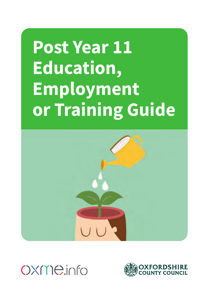# **Post Year 11 Education, Employment or Training Guide**





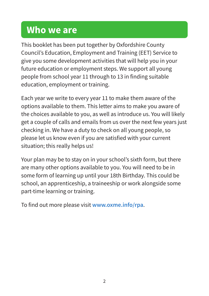## **Who we are**

This booklet has been put together by Oxfordshire County Council's Education, Employment and Training (EET) Service to give you some development activities that will help you in your future education or employment steps. We support all young people from school year 11 through to 13 in finding suitable education, employment or training.

Each year we write to every year 11 to make them aware of the options available to them. This letter aims to make you aware of the choices available to you, as well as introduce us. You will likely get a couple of calls and emails from us over the next few years just checking in. We have a duty to check on all young people, so please let us know even if you are satisfied with your current situation; this really helps us!

Your plan may be to stay on in your school's sixth form, but there are many other options available to you. You will need to be in some form of learning up until your 18th Birthday. This could be school, an apprenticeship, a traineeship or work alongside some part-time learning or training.

To find out more please visit **[www.oxme.info/rpa](http://www.oxme.info/rpa)**.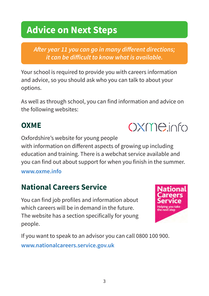## **Advice on Next Steps**

*After year 11 you can go in many different directions; it can be difficult to know what is available.* 

Your school is required to provide you with careers information and advice, so you should ask who you can talk to about your options.

As well as through school, you can find information and advice on the following websites:

## **OXME**

Oxfordshire's website for young people with information on different aspects of growing up including education and training. There is a webchat service available and you can find out about support for when you finish in the summer.

### **[www.oxme.info](http://www.oxme.info)**

## **National Careers Service**

You can find job profiles and information about which careers will be in demand in the future. The website has a section specifically for young people.



**C)X(l18.ir~fc)** 

If you want to speak to an advisor you can call 0800 100 900. **[www.nationalcareers.service.gov.uk](https://nationalcareers.service.gov.uk/)**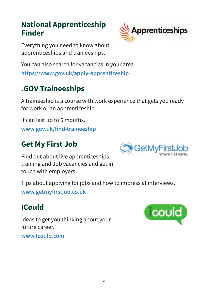### **National Apprenticeship Finder**



Everything you need to know about apprenticeships and traineeships.

You can also search for vacancies in your area.

**<https://www.gov.uk/apply-apprenticeship>**

## **.GOV Traineeships**

A traineeship is a course with work experience that gets you ready for work or an apprenticeship.

It can last up to 6 months. **[www.gov.uk/find-traineeship](http://www.gov.uk/find-traineeship)** 

## **Get My First Job**

Find out about live apprenticeships, training and Job vacancies and get in touch with employers.

Tips about applying for jobs and how to impress at interviews. **[www.getmyfirstjob.co.uk](http://www.getmyfirstjob.co.uk)** 

## **ICould**

Ideas to get you thinking about your future career.

**[www.Icould.com](http://www.Icould.com)** 



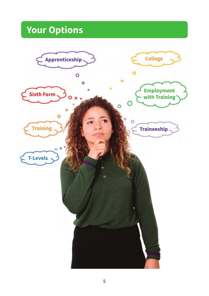## **Your Options**

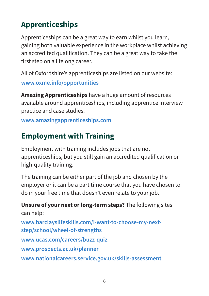## **Apprenticeships**

Apprenticeships can be a great way to earn whilst you learn, gaining both valuable experience in the workplace whilst achieving an accredited qualification. They can be a great way to take the first step on a lifelong career.

All of Oxfordshire's apprenticeships are listed on our website: **[www.oxme.info/opportunities](http://www.oxme.info/opportunities)** 

**Amazing Apprenticeships** have a huge amount of resources available around apprenticeships, including apprentice interview practice and case studies.

**[www.amazingapprenticeships.com](http://www.amazingapprenticeships.com)** 

## **Employment with Training**

Employment with training includes jobs that are not apprenticeships, but you still gain an accredited qualification or high-quality training.

The training can be either part of the job and chosen by the employer or it can be a part time course that you have chosen to do in your free time that doesn't even relate to your job.

**Unsure of your next or long-term steps?** The following sites can help: **[www.barclayslifeskills.com/i-want-to-choose-my-next](http://www.barclayslifeskills.com/i-want-to-choose-my-next-step/school/wheel-of-strengths)[step/school/wheel-of-strengths](http://www.barclayslifeskills.com/i-want-to-choose-my-next-step/school/wheel-of-strengths)  [www.ucas.com/careers/buzz-quiz](http://www.ucas.com/careers/buzz-quiz)  [www.prospects.ac.uk/planner](http://www.prospects.ac.uk/planner)  [www.nationalcareers.service.gov.uk/skills-assessment](https://nationalcareers.service.gov.uk/skills-assessment)**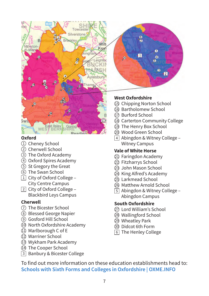

### **Oxford**

- Oxioru<br>① Cheney School W
- 2 Cherwell School
- 3 The Oxford Academy
- 4 Oxford Spires Academy
- 5 St Gregory the Great
- 6 The Swan School
- <table>\n<tbody>\n<tr>\n<td>③ The Oxford Academy</td>\n<td>①</td>\n</tr>\n<tr>\n<td>④ Oxford Spires Academy</td>\n<td>②</td>\n</tr>\n<tr>\n<td>③ St Gregory the Great</td>\n<td>②</td>\n</tr>\n<tr>\n<td>⑤ St Gregory the Great</td>\n<td>③</td>\n</tr>\n<tr>\n<td>③ The Swan School</td>\n<td>②</td>\n</tr>\n<tr>\n<td>② City of Oxford College –</td>\n<td>②</td>\n</tr>\n<tr>\n<td>⑤</td>\n<td>③</td>\n</tr>\n</tbody>\n</table>  $\mathfrak{1}\!\!\perp$  City of Oxford College – City Centre Campus
- <sup>0</sup>□ □ 2 City of Oxford College – Blackbird Leys Campus

### **Cherwell**

- 7 The Bicester School
- 8 Blessed George Napier
- 9 Gosford Hill School
- ① The Bicester School<br>③ Blessed George Napier<br>③ Gosford Hill School<br>④ North Oxfordshire Academy<br>① Marlborough C of E 10 North Oxfordshire Academy
- 11 Marlborough C of E
- $\overline{\textcircled{2}}$  Marriner School
- 0 13 Wykham Park Academy
- <sup>14</sup> The Cooper School
- □ 3 Banbury & Bicester College

## $\ddot{G}$ Þ ō п Ō æ ъ

### **West Oxfordshire**

- **15 Chipping Norton School**
- 0 16 Bartholomew School
- 0 17 Burford School
- <sup>18</sup> Carterton Community College
- 19 The Henry Box School
- 20 Wood Green School
- 4 Abingdon & Witney College Witney Campus

### **Vale of White Horse**

- 21 Faringdon Academy
- 22 Fitzharrys School
- 23 John Mason School
- 24 King Alfred's Academy
- 25 Larkmead School
- 26 Matthew Arnold School
- 5 Abingdon & Witney College Abingdon Campus

### **South Oxfordshire**

- 27 Lord William's School
- 28 Wallingford School
- 29 Wheatley Park
- 30 Didcot 6th Form
- 6 The Henley College

To find out more information on these education establishments head to: **[Schools with Sixth Forms and Colleges in Oxfordshire | OXME.INFO](https://oxme.info/cms/learn/schools-sixth-forms-and-colleges-oxfordshire)**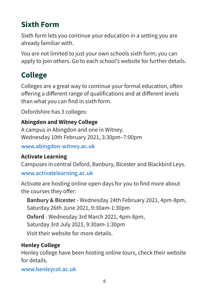## **Sixth Form**

Sixth form lets you continue your education in a setting you are already familiar with.

You are not limited to just your own schools sixth form; you can apply to join others. Go to each school's website for further details.

## **College**

Colleges are a great way to continue your formal education, often offering a different range of qualifications and at different levels than what you can find in sixth form.

Oxfordshire has 3 colleges:

### **Abingdon and Witney College**

A campus in Abingdon and one in Witney. Wednesday 10th February 2021, 3:30pm–7:00pm

**[www.abingdon-witney.ac.uk](http://www.abingdon-witney.ac.uk)** 

### **Activate Learning**

Campuses in central Oxford, Banbury, Bicester and Blackbird Leys.

**[www.activatelearning.ac.uk](http://www.activatelearning.ac.uk)** 

Activate are hosting online open days for you to find more about the courses they offer:

**Banbury & Bicester** - Wednesday 24th February 2021, 4pm-8pm, Saturday 26th June 2021, 9:30am-1:30pm **Oxford** - Wednesday 3rd March 2021, 4pm-8pm, Saturday 3rd July 2021, 9:30am-1:30pm Visit their website for more details.

### **Henley College**

Henley college have been hosting online tours, check their website for details.

**[www.henleycol.ac.uk](http://www.henleycol.ac.uk)**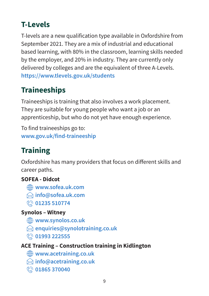## **T-Levels**

T-levels are a new qualification type available in Oxfordshire from September 2021. They are a mix of industrial and educational based learning, with 80% in the classroom, learning skills needed by the employer, and 20% in industry. They are currently only delivered by colleges and are the equivalent of three A-Levels. **<https://www.tlevels.gov.uk/students>** 

## **Traineeships**

Traineeships is training that also involves a work placement. They are suitable for young people who want a job or an apprenticeship, but who do not yet have enough experience.

To find traineeships go to: **[www.gov.uk/find-traineeship](http://www.gov.uk/find-traineeship)** 

## **Training**

Oxfordshire has many providers that focus on different skills and career paths.

### **SOFEA - Didcot**

- **[www.sofea.uk.com](http://www.sofea.uk.com)**
- **[info@sofea.uk.com](mailto:info@sofea.uk.com)**
- **201235 510774**

### **Synolos – Witney**

- **[www.synolos.co.uk](http://www.synolos.co.uk)**
- **[enquiries@synolotraining.co.uk](mailto:enquiries@synolotraining.co.uk)**
- **01993 222555**

### **ACE Training – Construction training in Kidlington**

- **[www.acetraining.co.uk](http://www.acetraining.co.uk)**
- **[info@acetraining.co.uk](mailto:info@acetraining.co.uk)**
- **01865 370040**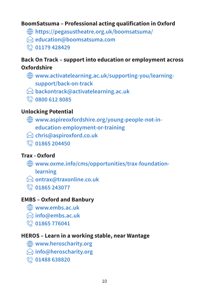### **BoomSatsuma – Professional acting qualification in Oxford**

- **<https://pegasustheatre.org.uk/boomsatsuma/>**
- **[education@boomsatsuma.com](mailto:education@boomsatsuma.com)**
- **Q** 01179 428429

### **Back On Track – support into education or employment across**

### **Oxfordshire**

- **[www.activatelearning.ac.uk/supporting-you/learning](http://www.activatelearning.ac.uk/supporting-you/learning-support/back-on-track)[support/back-on-track](http://www.activatelearning.ac.uk/supporting-you/learning-support/back-on-track)**
- **[backontrack@activatelearning.ac.uk](mailto:backontrack@activatelearning.ac.uk)**
- **0800 612 8085**

### **Unlocking Potential**

- **[www.aspireoxfordshire.org/young-people-not-in](http://www.aspireoxfordshire.org/young-people-not-in-education-employment-or-training)[education-employment-or-training](http://www.aspireoxfordshire.org/young-people-not-in-education-employment-or-training)**
- **[chris@aspiroxford.co.uk](mailto:chris@aspiroxford.co.uk)**
- **01865 204450**

### **Trax - Oxford**

- **[www.oxme.info/cms/opportunities/trax-foundation](http://www.oxme.info/cms/opportunities/trax-foundation-learning)**
	- **[learning](http://www.oxme.info/cms/opportunities/trax-foundation-learning)**
- **[ontrax@traxonline.co.uk](mailto:ontrax@traxonline.co.uk)**
- **01865 243077**

### **EMBS – Oxford and Banbury**

- **[www.embs.ac.uk](http://www.embs.ac.uk)**
- **[info@embs.ac.uk](mailto:info@embs.ac.uk)**
- **01865 776041**

### **HEROS – Learn in a working stable, near Wantage**

- **[www.heroscharity.org](http://www.heroscharity.org)**
- **[info@heroscharity.org](mailto:info@heroscharity.org)**
- **01488 638820**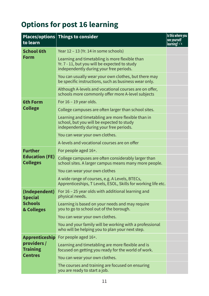## **Options for post 16 learning**

| to learn                                                                 | Places/options   Things to consider                                                                                                        | Is this where you<br>see yourself<br>learning? $\checkmark$ $\times$ |
|--------------------------------------------------------------------------|--------------------------------------------------------------------------------------------------------------------------------------------|----------------------------------------------------------------------|
| <b>School 6th</b><br>Form                                                | Year 12 – 13 (Yr. 14 in some schools)                                                                                                      |                                                                      |
|                                                                          | Learning and timetabling is more flexible than<br>Yr. 7 - 11, but you will be expected to study<br>independently during your free periods. |                                                                      |
|                                                                          | You can usually wear your own clothes, but there may<br>be specific instructions, such as business wear only.                              |                                                                      |
|                                                                          | Although A-levels and vocational courses are on offer,<br>schools more commonly offer more A-level subjects                                |                                                                      |
| 6th Form<br><b>College</b>                                               | For 16 - 19 year olds.                                                                                                                     |                                                                      |
|                                                                          | College campuses are often larger than school sites.                                                                                       |                                                                      |
|                                                                          | Learning and timetabling are more flexible than in<br>school, but you will be expected to study<br>independently during your free periods. |                                                                      |
|                                                                          | You can wear your own clothes.                                                                                                             |                                                                      |
|                                                                          | A-levels and vocational courses are on offer                                                                                               |                                                                      |
| <b>Further</b><br><b>Education (FE)</b><br><b>Colleges</b>               | For people aged 16+.                                                                                                                       |                                                                      |
|                                                                          | College campuses are often considerably larger than<br>school sites. A larger campus means many more people.                               |                                                                      |
|                                                                          | You can wear your own clothes                                                                                                              |                                                                      |
|                                                                          | A wide range of courses, e.g. A Levels, BTECs,<br>Apprenticeships, T Levels, ESOL, Skills for working life etc.                            |                                                                      |
| (Independent)<br><b>Special</b><br><b>Schools</b><br>& Colleges          | For 16 – 25 year olds with additional learning and<br>physical needs.                                                                      |                                                                      |
|                                                                          | Learning is based on your needs and may require<br>you to go to school out of the borough.                                                 |                                                                      |
|                                                                          | You can wear your own clothes.                                                                                                             |                                                                      |
|                                                                          | You and your family will be working with a professional<br>who will be helping you to plan your next step.                                 |                                                                      |
| <b>Apprenticeship</b><br>providers/<br><b>Training</b><br><b>Centres</b> | For people aged 16+.                                                                                                                       |                                                                      |
|                                                                          | Learning and timetabling are more flexible and is<br>focused on getting you ready for the world of work.                                   |                                                                      |
|                                                                          | You can wear your own clothes.                                                                                                             |                                                                      |
|                                                                          | The courses and training are focused on ensuring<br>you are ready to start a job.                                                          |                                                                      |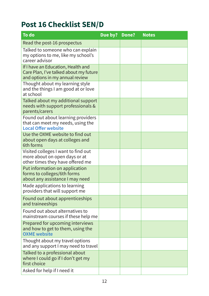## **Post 16 Checklist SEN/D**

| To do                                                                                                           | Due by? Done? | <b>Notes</b> |
|-----------------------------------------------------------------------------------------------------------------|---------------|--------------|
| Read the post-16 prospectus                                                                                     |               |              |
| Talked to someone who can explain<br>my options to me, like my school's<br>career advisor                       |               |              |
| If I have an Education, Health and<br>Care Plan, I've talked about my future<br>and options in my annual review |               |              |
| Thought about my learning style<br>and the things I am good at or love<br>at school                             |               |              |
| Talked about my additional support<br>needs with support professionals &<br>parents/carers                      |               |              |
| Found out about learning providers<br>that can meet my needs, using the<br><b>Local Offer website</b>           |               |              |
| Use the OXME website to find out<br>about open days at colleges and<br>6th forms                                |               |              |
| Visited colleges I want to find out<br>more about on open days or at<br>other times they have offered me        |               |              |
| Put information on application<br>forms to colleges/6th forms<br>about any assistance I may need                |               |              |
| Made applications to learning<br>providers that will support me                                                 |               |              |
| Found out about apprenticeships<br>and traineeships                                                             |               |              |
| Found out about alternatives to<br>mainstream courses if these help me                                          |               |              |
| Prepared for upcoming interviews<br>and how to get to them, using the<br><b>OXME</b> website                    |               |              |
| Thought about my travel options<br>and any support I may need to travel                                         |               |              |
| Talked to a professional about<br>where I could go if I don't get my<br>first choice                            |               |              |
| Asked for help if I need it                                                                                     |               |              |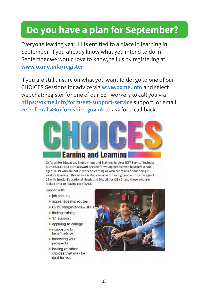## **Do you have a plan for September?**

Everyone leaving year 11 is entitled to a place in learning in September. If you already know what you intend to do in September we would love to know, tell us by registering at **[www.oxme.info/register](http://www.oxme.info/register)** 

If you are still unsure on what you want to do, go to one of our CHOICES Sessions for advice via **[www.oxme.info](http://www.oxme.info)** and select webchat; register for one of our EET workers to call you via **<https://oxme.info/form/eet-support-service>** support; or email **eetreferrals@oxfordshire.gov.uk** to ask for a call back.



**Oxfordshire Education, Employment and Training Services (EET Service) includes**  our CHOICES and EET Casework service for young people who have left school **aged 16-19 who are not in work or learning or who are at risk of not being in**  work or learning. This service is also available for young people up to the age of 25 with Special Educational Needs and Disabilities (SEND) and those who are looked after or leaving care (LAC).

Support with:

- ► job seeking
- ► apprenticeship routes
- ► CV building/interview skills
- $\blacktriangleright$  finding training
- ► 1:1 support
- ► applying to college
- ► signposting for benefit advice
- ► improving your prospects
- ► looking at other choices that may be right for you

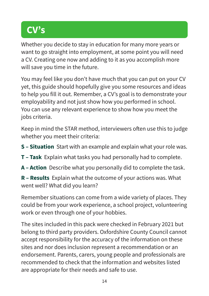## **CV's**

Whether you decide to stay in education for many more years or want to go straight into employment, at some point you will need a CV. Creating one now and adding to it as you accomplish more will save you time in the future.

You may feel like you don't have much that you can put on your CV yet, this guide should hopefully give you some resources and ideas to help you fill it out. Remember, a CV's goal is to demonstrate your employability and not just show how you performed in school. You can use any relevant experience to show how you meet the jobs criteria.

Keep in mind the STAR method, interviewers often use this to judge whether you meet their criteria:

**S – Situation** Start with an example and explain what your role was.

- **T Task** Explain what tasks you had personally had to complete.
- **A Action** Describe what you personally did to complete the task.

**R – Results** Explain what the outcome of your actions was. What went well? What did you learn?

Remember situations can come from a wide variety of places. They could be from your work experience, a school project, volunteering work or even through one of your hobbies.

The sites included in this pack were checked in February 2021 but belong to third party providers. Oxfordshire County Council cannot accept responsibility for the accuracy of the information on these sites and nor does inclusion represent a recommendation or an endorsement. Parents, carers, young people and professionals are recommended to check that the information and websites listed are appropriate for their needs and safe to use.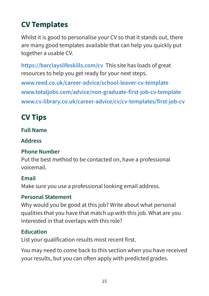## **CV Templates**

Whilst it is good to personalise your CV so that it stands out, there are many good templates available that can help you quickly put together a usable CV.

**<https://barclayslifeskills.com/cv>** This site has loads of great resources to help you get ready for your next steps. **[www.reed.co.uk/career-advice/school-leaver-cv-template](http://www.reed.co.uk/career-advice/school-leaver-cv-template)  [www.totaljobs.com/advice/non-graduate-first-job-cv-template](http://www.totaljobs.com/advice/non-graduate-first-job-cv-template)  [www.cv-library.co.uk/career-advice/cv/cv-templates/first-job-cv](http://www.cv-library.co.uk/career-advice/cv/cv-templates/first-job-cv)** 

## **CV Tips**

### **Full Name**

### **Address**

### **Phone Number**

Put the best method to be contacted on, have a professional voicemail.

### **Email**

Make sure you use a professional looking email address.

### **Personal Statement**

Why would you be good at this job? Write about what personal qualities that you have that match up with this job. What are you interested in that overlaps with this role?

### **Education**

List your qualification results most recent first.

You may need to come back to this section when you have received your results, but you can often apply with predicted grades.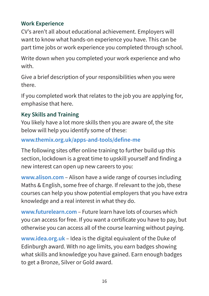### **Work Experience**

CV's aren't all about educational achievement. Employers will want to know what hands-on experience you have. This can be part time jobs or work experience you completed through school.

Write down when you completed your work experience and who with.

Give a brief description of your responsibilities when you were there.

If you completed work that relates to the job you are applying for, emphasise that here.

### **Key Skills and Training**

You likely have a lot more skills then you are aware of, the site below will help you identify some of these:

### **[www.themix.org.uk/apps-and-tools/define-me](http://www.themix.org.uk/apps-and-tools/define-me)**

The following sites offer online training to further build up this section, lockdown is a great time to upskill yourself and finding a new interest can open up new careers to you:

**[www.alison.com](http://www.alison.com)** – Alison have a wide range of courses including Maths & English, some free of charge. If relevant to the job, these courses can help you show potential employers that you have extra knowledge and a real interest in what they do.

**[www.futurelearn.com](http://www.futurelearn.com)** – Future learn have lots of courses which you can access for free. If you want a certificate you have to pay, but otherwise you can access all of the course learning without paying.

**[www.idea.org.uk](http://www.idea.org.uk)** – Idea is the digital equivalent of the Duke of Edinburgh award. With no age limits, you earn badges showing what skills and knowledge you have gained. Earn enough badges to get a Bronze, Silver or Gold award.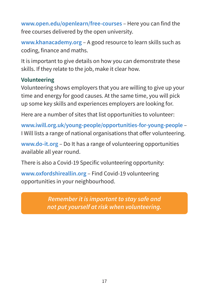**[www.open.edu/openlearn/free-courses](http://www.open.edu/openlearn/free-courses)** – Here you can find the free courses delivered by the open university.

**[www.khanacademy.org](http://www.khanacademy.org)** – A good resource to learn skills such as coding, finance and maths.

It is important to give details on how you can demonstrate these skills. If they relate to the job, make it clear how.

### **Volunteering**

Volunteering shows employers that you are willing to give up your time and energy for good causes. At the same time, you will pick up some key skills and experiences employers are looking for.

Here are a number of sites that list opportunities to volunteer:

**[www.iwill.org.uk/young-people/opportunities-for-young-people](http://www.iwill.org.uk/young-people/opportunities-for-young-people)** – I Will lists a range of national organisations that offer volunteering.

**[www.do-it.org](http://www.do-it.org)** – Do It has a range of volunteering opportunities available all year round.

There is also a Covid-19 Specific volunteering opportunity:

**[www.oxfordshireallin.org](http://www.oxfordshireallin.org)** – Find Covid-19 volunteering opportunities in your neighbourhood.

> *Remember it is important to stay safe and not put yourself at risk when volunteering.*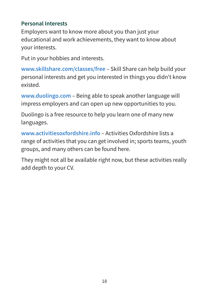### **Personal Interests**

Employers want to know more about you than just your educational and work achievements, they want to know about your interests.

Put in your hobbies and interests.

**[www.skillshare.com/classes/free](http://www.skillshare.com/classes/free)** – Skill Share can help build your personal interests and get you interested in things you didn't know existed.

**[www.duolingo.com](http://www.duolingo.com)** – Being able to speak another language will impress employers and can open up new opportunities to you.

Duolingo is a free resource to help you learn one of many new languages.

**[www.activitiesoxfordshire.info](http://www.activitiesoxfordshire.info)** – Activities Oxfordshire lists a range of activities that you can get involved in; sports teams, youth groups, and many others can be found here.

They might not all be available right now, but these activities really add depth to your CV.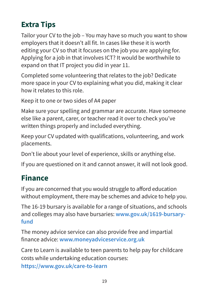## **Extra Tips**

Tailor your CV to the job – You may have so much you want to show employers that it doesn't all fit. In cases like these it is worth editing your CV so that it focuses on the job you are applying for. Applying for a job in that involves ICT? It would be worthwhile to expand on that IT project you did in year 11.

Completed some volunteering that relates to the job? Dedicate more space in your CV to explaining what you did, making it clear how it relates to this role.

Keep it to one or two sides of A4 paper

Make sure your spelling and grammar are accurate. Have someone else like a parent, carer, or teacher read it over to check you've written things properly and included everything.

Keep your CV updated with qualifications, volunteering, and work placements.

Don't lie about your level of experience, skills or anything else.

If you are questioned on it and cannot answer, it will not look good.

### **Finance**

If you are concerned that you would struggle to afford education without employment, there may be schemes and advice to help you.

The 16-19 bursary is available for a range of situations, and schools and colleges may also have bursaries: **[www.gov.uk/1619-bursary](http://www.gov.uk/1619-bursary-fund)[fund](http://www.gov.uk/1619-bursary-fund)** 

The money advice service can also provide free and impartial finance advice: **[www.moneyadviceservice.org.uk](http://www.moneyadviceservice.org.uk)** 

Care to Learn is available to teen parents to help pay for childcare costs while undertaking education courses:

**<https://www.gov.uk/care-to-learn>**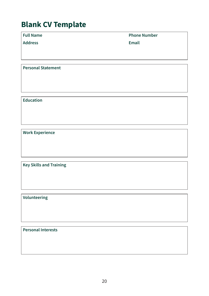### **Blank CV Template**

**Address Email** 

**Full Name Phone Number** 

**Personal Statement** 

**Education** 

**Work Experience** 

**Key Skills and Training** 

**Volunteering** 

**Personal Interests**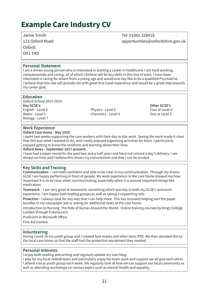### **Example Care Industry CV**

Jamie Smith Tel: 01865 328418 Oxford OX1 1ND

123 Oxford Road opportunities@oxfordshire.gov.uk

#### **Personal Statement**

I am a driven young person who is interested in starting a career in healthcare. I am hard working, compassionate and caring, all of which I believe will be key skills in this line of work. I have been interested in caring for others from a young age and would one day like to be a qualified Psychiatrist. I believe that this role will provide me with great first-hand experience and would be a great step towards my career goal.

### **Education**

Oxford School 2015-2020.<br>Kev GCSE's **Key GCSE's Other GCSE's**<br> **Key GCSE's Other GCSE's Other GCSE's Other GCSE's Other GCSE's** English - Level 6 Physics - Level 5 Four at Level 6 Four at Level 6 Four at Level 6 Four at Level 5 Four at Level 5<br>Maths - Level 5 Four at Level 5 Chemistry - Level 6 Four at Level 5 Four at Level 5 Biology - Level 7

Chemistry - Level 6

### **Work Experience**

#### **Oxford Care Home - May 2019.**

I spent two weeks supporting the care workers with their day to day work. Seeing the work made it clear that this was what I wanted to do, and I really enjoyed organising activities for them. I particularly enjoyed getting to know the residents and learning about their lives.

#### **Oxford News - September 2017-present.**

I have had a paper round for the past two and a half years and have not missed a day's delivery. I am always on time and I believe this shows my commitment and that I can be trusted.

#### **Key Skills and Training**

**Communication** – I am both confident and able to be clear in my communication. Through my drama GCSE I am happy performing in front of people. My work experience in the care home showed me how important it is to be clear when communicating, especially when it is around important things like medication.

**Teamwork** – I am very good at teamwork, something which was key in both my GCSE's and work experience. I am happy both leading groups as well as taking a supporting role.

**Proactive** – I always look for any way that I can help more. This has included helping sort the paper bundles in my newspaper job or asking for additional tasks at the care home.

Introduction to Nursing: The Role of Nurses Around the World - Online training courses by Kings College London through FutureLearn.

Proficient in Microsoft Office.

First Aid trained.

#### **Volunteering**

During Covid-19 my youth group and I created face masks and other basic PPE. We then donated this to the local care home so that the staff had the protection equipment they needed.

#### **Personal Interests**

I enjoy both reading and writing and regularly update my own blog.

I play for my local netball team and particularly enjoy the team work and support we all give each other. I attend a local youth group each week. We regularly look at how we can support our local community as well as attending workshops on various topics such as mental health and equality.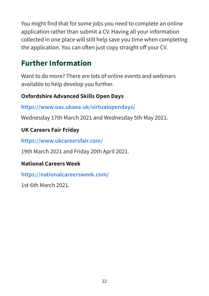You might find that for some jobs you need to complete an online application rather than submit a CV. Having all your information collected in one place will still help save you time when completing the application. You can often just copy straight off your CV.

## **Further Information**

Want to do more? There are lots of online events and webinars available to help develop you further.

### **Oxfordshire Advanced Skills Open Days**

**<https://www.oas.ukaea.uk/virtualopendays/>**

Wednesday 17th March 2021 and Wednesday 5th May 2021.

### **UK Careers Fair Friday**

**<https://www.ukcareersfair.com/>**

19th March 2021 and Friday 20th April 2021.

### **National Careers Week**

**<https://nationalcareersweek.com/>**

1st-6th March 2021.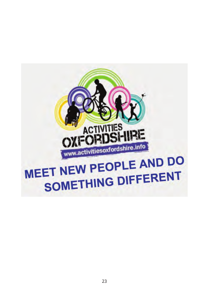